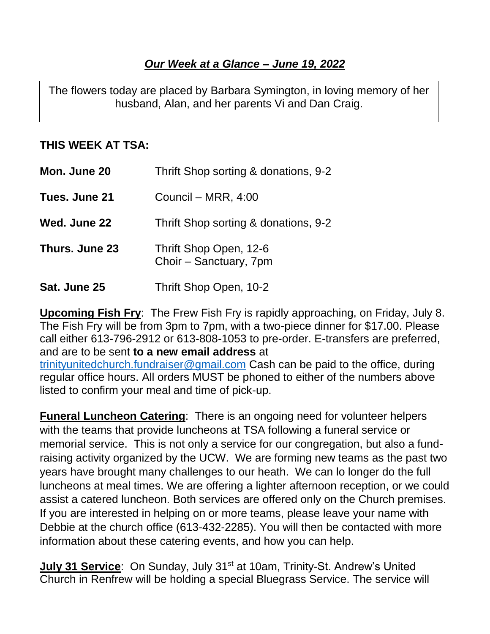The flowers today are placed by Barbara Symington, in loving memory of her husband, Alan, and her parents Vi and Dan Craig.

## **THIS WEEK AT TSA:**

| Mon. June 20   | Thrift Shop sorting & donations, 9-2             |
|----------------|--------------------------------------------------|
| Tues. June 21  | Council - MRR, 4:00                              |
| Wed. June 22   | Thrift Shop sorting & donations, 9-2             |
| Thurs. June 23 | Thrift Shop Open, 12-6<br>Choir - Sanctuary, 7pm |
| Sat. June 25   | Thrift Shop Open, 10-2                           |

**Upcoming Fish Fry**: The Frew Fish Fry is rapidly approaching, on Friday, July 8. The Fish Fry will be from 3pm to 7pm, with a two-piece dinner for \$17.00. Please call either 613-796-2912 or 613-808-1053 to pre-order. E-transfers are preferred, and are to be sent **to a new email address** at

[trinityunitedchurch.fundraiser@gmail.com](mailto:trinityunitedchurch.fundraiser@gmail.com) Cash can be paid to the office, during regular office hours. All orders MUST be phoned to either of the numbers above listed to confirm your meal and time of pick-up.

**Funeral Luncheon Catering**: There is an ongoing need for volunteer helpers with the teams that provide luncheons at TSA following a funeral service or memorial service. This is not only a service for our congregation, but also a fundraising activity organized by the UCW. We are forming new teams as the past two years have brought many challenges to our heath. We can lo longer do the full luncheons at meal times. We are offering a lighter afternoon reception, or we could assist a catered luncheon. Both services are offered only on the Church premises. If you are interested in helping on or more teams, please leave your name with Debbie at the church office (613-432-2285). You will then be contacted with more information about these catering events, and how you can help.

**July 31 Service:** On Sunday, July 31<sup>st</sup> at 10am, Trinity-St. Andrew's United Church in Renfrew will be holding a special Bluegrass Service. The service will